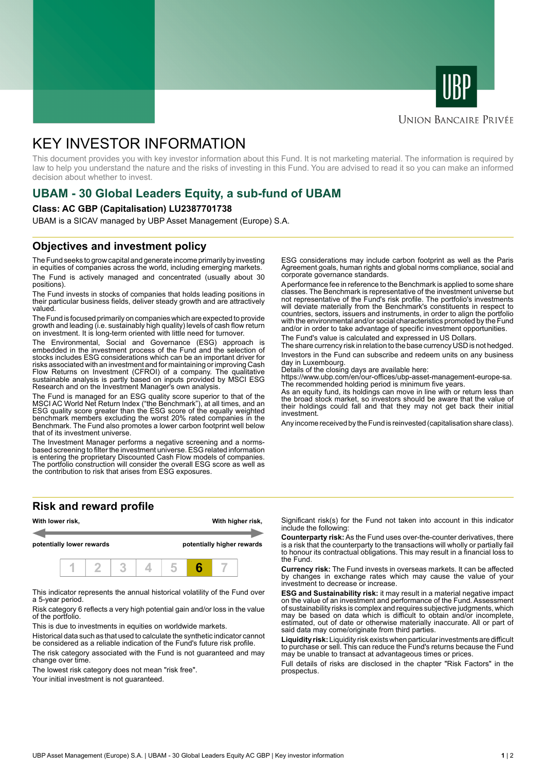



## **UNION BANCAIRE PRIVÉE**

# KEY INVESTOR INFORMATION

This document provides you with key investor information about this Fund. It is not marketing material. The information is required by law to help you understand the nature and the risks of investing in this Fund. You are advised to read it so you can make an informed decision about whether to invest.

## **UBAM - 30 Global Leaders Equity, a sub-fund of UBAM**

## **Class: AC GBP (Capitalisation) LU2387701738**

UBAM is a SICAV managed by UBP Asset Management (Europe) S.A.

## **Objectives and investment policy**

The Fund seeks to grow capital and generate income primarily by investing in equities of companies across the world, including emerging markets. The Fund is actively managed and concentrated (usually about 30 positions).

The Fund invests in stocks of companies that holds leading positions in their particular business fields, deliver steady growth and are attractively valued.

The Fund is focused primarily on companies which are expected to provide growth and leading (i.e. sustainably high quality) levels of cash flow return on investment. It is long-term oriented with little need for turnover.

The Environmental, Social and Governance (ESG) approach is embedded in the investment process of the Fund and the selection of stocks includes ESG considerations which can be an important driver for risks associated with an investment and for maintaining or improving Cash Flow Returns on Investment (CFROI) of a company. The qualitative sustainable analysis is partly based on inputs provided by MSCI ESG Research and on the Investment Manager's own analysis.

The Fund is managed for an ESG quality score superior to that of the MSCI AC World Net Return Index ("the Benchmark"), at all times, and an ESG quality score greater than the ESG score of the equally weighted benchmark members excluding the worst 20% rated companies in the Benchmark. The Fund also promotes a lower carbon footprint well below that of its investment universe.

The Investment Manager performs a negative screening and a normsbased screening to filter the investment universe. ESG related information is entering the proprietary Discounted Cash Flow models of companies. The portfolio construction will consider the overall ESG score as well as the contribution to risk that arises from ESG exposures.

**Risk and reward profile**



This indicator represents the annual historical volatility of the Fund over a 5-year period.

Risk category 6 reflects a very high potential gain and/or loss in the value of the portfolio.

This is due to investments in equities on worldwide markets.

Historical data such as that used to calculate the synthetic indicator cannot be considered as a reliable indication of the Fund's future risk profile.

The risk category associated with the Fund is not guaranteed and may change over time.

The lowest risk category does not mean "risk free".

Your initial investment is not quaranteed.

ESG considerations may include carbon footprint as well as the Paris Agreement goals, human rights and global norms compliance, social and corporate governance standards.

A performance fee in reference to the Benchmark is applied to some share classes. The Benchmark is representative of the investment universe but not representative of the Fund's risk profile. The portfolio's investments will deviate materially from the Benchmark's constituents in respect to countries, sectors, issuers and instruments, in order to align the portfolio with the environmental and/or social characteristics promoted by the Fund and/or in order to take advantage of specific investment opportunities.

The Fund's value is calculated and expressed in US Dollars.

The share currency risk in relation to the base currency USD is not hedged. Investors in the Fund can subscribe and redeem units on any business day in Luxembourg.

Details of the closing days are available here:

https://www.ubp.com/en/our-offices/ubp-asset-management-europe-sa. The recommended holding period is minimum five years.

As an equity fund, its holdings can move in line with or return less than the broad stock market, so investors should be aware that the value of their holdings could fall and that they may not get back their initial investment.

Any income received by the Fund is reinvested (capitalisation share class).

Significant risk(s) for the Fund not taken into account in this indicator include the following:

**Counterparty risk:** As the Fund uses over-the-counter derivatives, there is a risk that the counterparty to the transactions will wholly or partially fail to honour its contractual obligations. This may result in a financial loss to the Fund.

**Currency risk:** The Fund invests in overseas markets. It can be affected by changes in exchange rates which may cause the value of your investment to decrease or increase.

**ESG and Sustainability risk:** it may result in a material negative impact on the value of an investment and performance of the Fund. Assessment of sustainability risks is complex and requires subjective judgments, which may be based on data which is difficult to obtain and/or incomplete, estimated, out of date or otherwise materially inaccurate. All or part of said data may come/originate from third parties.

**Liquidity risk:** Liquidity risk exists when particular investments are difficult to purchase or sell. This can reduce the Fund's returns because the Fund may be unable to transact at advantageous times or prices.

Full details of risks are disclosed in the chapter "Risk Factors" in the prospectus.